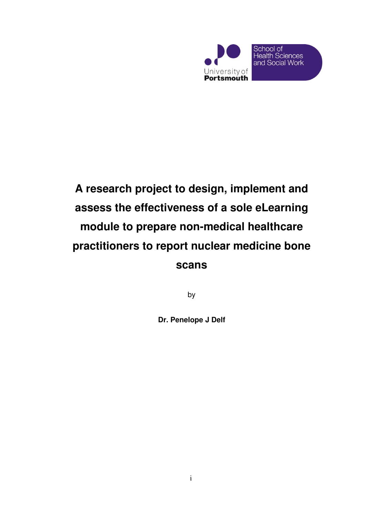

# **A research project to design, implement and assess the effectiveness of a sole eLearning module to prepare non-medical healthcare practitioners to report nuclear medicine bone scans**

by

**Dr. Penelope J Delf**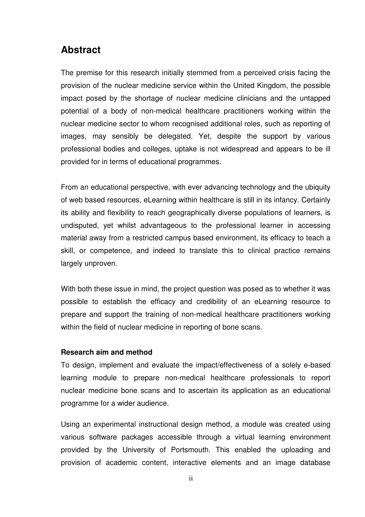## **Abstract**

The premise for this research initially stemmed from a perceived crisis facing the provision of the nuclear medicine service within the United Kingdom, the possible impact posed by the shortage of nuclear medicine clinicians and the untapped potential of a body of non-medical healthcare practitioners working within the nuclear medicine sector to whom recognised additional roles, such as reporting of images, may sensibly be delegated. Yet, despite the support by various professional bodies and colleges, uptake is not widespread and appears to be ill provided for in terms of educational programmes.

From an educational perspective, with ever advancing technology and the ubiquity of web based resources, eLearning within healthcare is still in its infancy. Certainly its ability and flexibility to reach geographically diverse populations of learners, is undisputed, yet whilst advantageous to the professional learner in accessing material away from a restricted campus based environment, its efficacy to teach a skill, or competence, and indeed to translate this to clinical practice remains largely unproven.

With both these issue in mind, the project question was posed as to whether it was possible to establish the efficacy and credibility of an eLearning resource to prepare and support the training of non-medical healthcare practitioners working within the field of nuclear medicine in reporting of bone scans.

#### **Research aim and method**

To design, implement and evaluate the impact/effectiveness of a solely e-based learning module to prepare non-medical healthcare professionals to report nuclear medicine bone scans and to ascertain its application as an educational programme for a wider audience.

Using an experimental instructional design method, a module was created using various software packages accessible through a virtual learning environment provided by the University of Portsmouth. This enabled the uploading and provision of academic content, interactive elements and an image database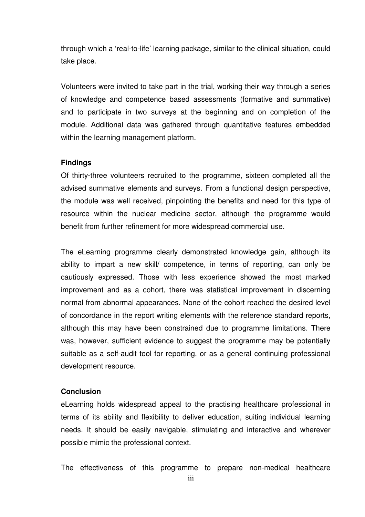through which a 'real-to-life' learning package, similar to the clinical situation, could take place.

Volunteers were invited to take part in the trial, working their way through a series of knowledge and competence based assessments (formative and summative) and to participate in two surveys at the beginning and on completion of the module. Additional data was gathered through quantitative features embedded within the learning management platform.

### **Findings**

Of thirty-three volunteers recruited to the programme, sixteen completed all the advised summative elements and surveys. From a functional design perspective, the module was well received, pinpointing the benefits and need for this type of resource within the nuclear medicine sector, although the programme would benefit from further refinement for more widespread commercial use.

The eLearning programme clearly demonstrated knowledge gain, although its ability to impart a new skill/ competence, in terms of reporting, can only be cautiously expressed. Those with less experience showed the most marked improvement and as a cohort, there was statistical improvement in discerning normal from abnormal appearances. None of the cohort reached the desired level of concordance in the report writing elements with the reference standard reports, although this may have been constrained due to programme limitations. There was, however, sufficient evidence to suggest the programme may be potentially suitable as a self-audit tool for reporting, or as a general continuing professional development resource.

#### **Conclusion**

eLearning holds widespread appeal to the practising healthcare professional in terms of its ability and flexibility to deliver education, suiting individual learning needs. It should be easily navigable, stimulating and interactive and wherever possible mimic the professional context.

The effectiveness of this programme to prepare non-medical healthcare